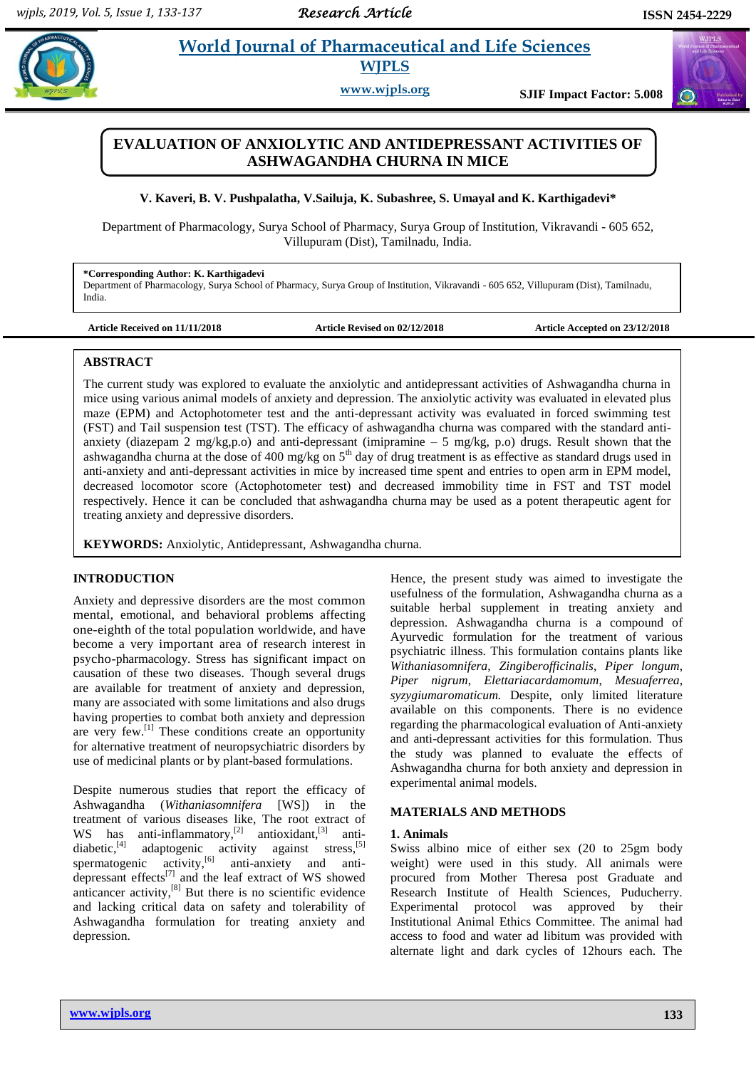# **Karthiganevia** *E**World Journal of Pharmaceutical and Life Sciences* **WJPLS**

**www.wjpls.org SJIF Impact Factor: 5.008**

# **EVALUATION OF ANXIOLYTIC AND ANTIDEPRESSANT ACTIVITIES OF ASHWAGANDHA CHURNA IN MICE**

**V. Kaveri, B. V. Pushpalatha, V.Sailuja, K. Subashree, S. Umayal and K. Karthigadevi\***

Department of Pharmacology, Surya School of Pharmacy, Surya Group of Institution, Vikravandi - 605 652, Villupuram (Dist), Tamilnadu, India.

#### **\*Corresponding Author: K. Karthigadevi**

Department of Pharmacology, Surya School of Pharmacy, Surya Group of Institution, Vikravandi - 605 652, Villupuram (Dist), Tamilnadu, India.

**Article Received on 11/11/2018 Article Revised on 02/12/2018 Article Accepted on 23/12/2018**

### **ABSTRACT**

The current study was explored to evaluate the anxiolytic and antidepressant activities of Ashwagandha churna in mice using various animal models of anxiety and depression. The anxiolytic activity was evaluated in elevated plus maze (EPM) and Actophotometer test and the anti-depressant activity was evaluated in forced swimming test (FST) and Tail suspension test (TST). The efficacy of ashwagandha churna was compared with the standard antianxiety (diazepam 2 mg/kg,p.o) and anti-depressant (imipramine – 5 mg/kg, p.o) drugs. Result shown that the ashwagandha churna at the dose of 400 mg/kg on 5<sup>th</sup> day of drug treatment is as effective as standard drugs used in anti-anxiety and anti-depressant activities in mice by increased time spent and entries to open arm in EPM model, decreased locomotor score (Actophotometer test) and decreased immobility time in FST and TST model respectively. Hence it can be concluded that ashwagandha churna may be used as a potent therapeutic agent for treating anxiety and depressive disorders.

**KEYWORDS:** Anxiolytic, Antidepressant, Ashwagandha churna.

### **INTRODUCTION**

Anxiety and depressive disorders are the most common mental, emotional, and behavioral problems affecting one-eighth of the total population worldwide, and have become a very important area of research interest in psycho-pharmacology. Stress has significant impact on causation of these two diseases. Though several drugs are available for treatment of anxiety and depression, many are associated with some limitations and also drugs having properties to combat both anxiety and depression are very few.<sup>[1]</sup> These conditions create an opportunity for alternative treatment of neuropsychiatric disorders by use of medicinal plants or by plant-based formulations.

Despite numerous studies that report the efficacy of Ashwagandha (*Withaniasomnifera* [WS]) in the treatment of various diseases like, The root extract of WS has anti-inflammatory, $^{[2]}$  antioxidant, antidiabetic,<sup>[4]</sup> adaptogenic activity against stress,<sup>[5]</sup> spermatogenic activity,<sup>[6]</sup> anti-anxiety and antidepressant effects<sup>[7]</sup> and the leaf extract of WS showed anticancer activity, $^{[8]}$  But there is no scientific evidence and lacking critical data on safety and tolerability of Ashwagandha formulation for treating anxiety and depression.

Hence, the present study was aimed to investigate the usefulness of the formulation, Ashwagandha churna as a suitable herbal supplement in treating anxiety and depression. Ashwagandha churna is a compound of Ayurvedic formulation for the treatment of various psychiatric illness. This formulation contains plants like *Withaniasomnifera*, *Zingiberofficinalis*, *Piper longum*, *Piper nigrum*, *Elettariacardamomum*, *Mesuaferrea*, *syzygiumaromaticum.* Despite, only limited literature available on this components. There is no evidence regarding the pharmacological evaluation of Anti-anxiety and anti-depressant activities for this formulation. Thus the study was planned to evaluate the effects of Ashwagandha churna for both anxiety and depression in experimental animal models.

### **MATERIALS AND METHODS**

#### **1. Animals**

Swiss albino mice of either sex (20 to 25gm body weight) were used in this study. All animals were procured from Mother Theresa post Graduate and Research Institute of Health Sciences, Puducherry. Experimental protocol was approved by their Institutional Animal Ethics Committee. The animal had access to food and water ad libitum was provided with alternate light and dark cycles of 12hours each. The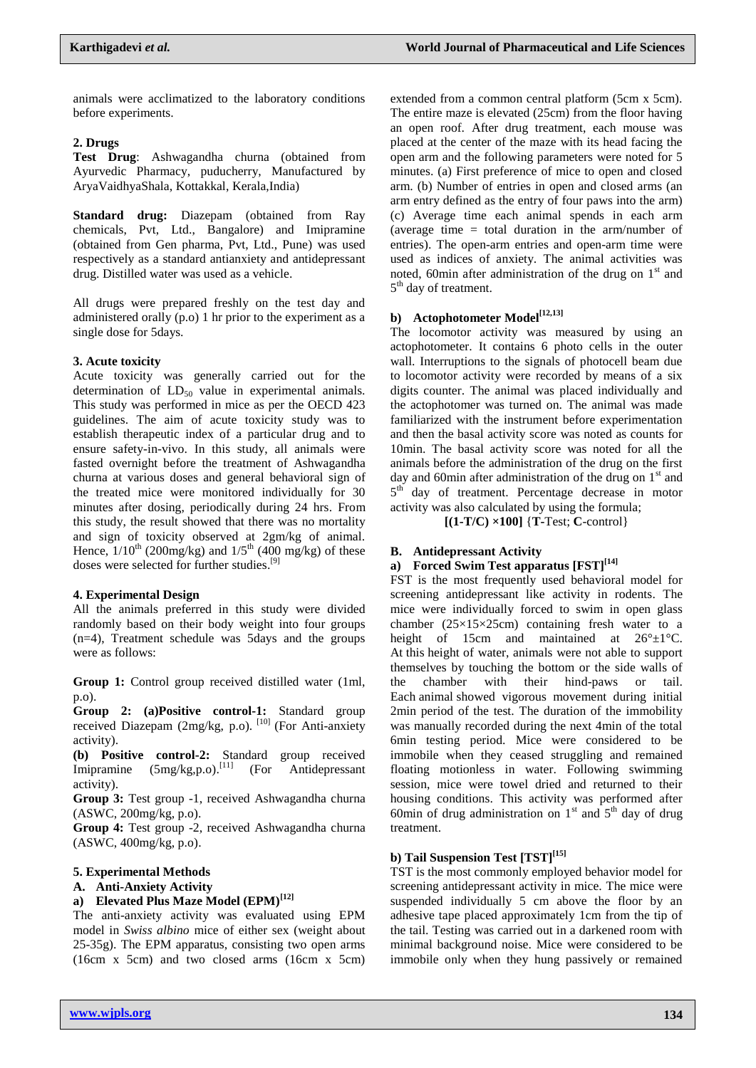animals were acclimatized to the laboratory conditions before experiments.

### **2. Drugs**

**Test Drug**: Ashwagandha churna (obtained from Ayurvedic Pharmacy, puducherry, Manufactured by AryaVaidhyaShala, Kottakkal, Kerala,India)

**Standard drug:** Diazepam (obtained from Ray chemicals, Pvt, Ltd., Bangalore) and Imipramine (obtained from Gen pharma, Pvt, Ltd., Pune) was used respectively as a standard antianxiety and antidepressant drug. Distilled water was used as a vehicle.

All drugs were prepared freshly on the test day and administered orally (p.o) 1 hr prior to the experiment as a single dose for 5days.

### **3. Acute toxicity**

Acute toxicity was generally carried out for the determination of  $LD_{50}$  value in experimental animals. This study was performed in mice as per the OECD 423 guidelines. The aim of acute toxicity study was to establish therapeutic index of a particular drug and to ensure safety-in-vivo. In this study, all animals were fasted overnight before the treatment of Ashwagandha churna at various doses and general behavioral sign of the treated mice were monitored individually for 30 minutes after dosing, periodically during 24 hrs. From this study, the result showed that there was no mortality and sign of toxicity observed at 2gm/kg of animal. Hence,  $1/10^{th}$  (200mg/kg) and  $1/5^{th}$  (400 mg/kg) of these doses were selected for further studies.<sup>[9]</sup>

### **4. Experimental Design**

All the animals preferred in this study were divided randomly based on their body weight into four groups (n=4), Treatment schedule was 5days and the groups were as follows:

**Group 1:** Control group received distilled water (1ml, p.o).

**Group 2: (a)Positive control-1:** Standard group received Diazepam (2mg/kg, p.o).<sup>[10]</sup> (For Anti-anxiety activity).

**(b) Positive control-2:** Standard group received Imipramine (5mg/kg,p.o).<sup>[11]</sup> (For Antidepressant activity).

**Group 3:** Test group -1, received Ashwagandha churna (ASWC, 200mg/kg, p.o).

**Group 4:** Test group -2, received Ashwagandha churna (ASWC, 400mg/kg, p.o).

### **5. Experimental Methods**

### **A. Anti-Anxiety Activity**

### **a) Elevated Plus Maze Model (EPM)[12]**

The anti-anxiety activity was evaluated using EPM model in *Swiss albino* mice of either sex (weight about 25-35g). The EPM apparatus, consisting two open arms (16cm x 5cm) and two closed arms (16cm x 5cm)

extended from a common central platform (5cm x 5cm). The entire maze is elevated (25cm) from the floor having an open roof. After drug treatment, each mouse was placed at the center of the maze with its head facing the open arm and the following parameters were noted for 5 minutes. (a) First preference of mice to open and closed arm. (b) Number of entries in open and closed arms (an arm entry defined as the entry of four paws into the arm) (c) Average time each animal spends in each arm (average time  $=$  total duration in the arm/number of entries). The open-arm entries and open-arm time were used as indices of anxiety. The animal activities was noted, 60min after administration of the drug on  $1<sup>st</sup>$  and 5<sup>th</sup> day of treatment.

### **b) Actophotometer Model[12,13]**

The locomotor activity was measured by using an actophotometer. It contains 6 photo cells in the outer wall. Interruptions to the signals of photocell beam due to locomotor activity were recorded by means of a six digits counter. The animal was placed individually and the actophotomer was turned on. The animal was made familiarized with the instrument before experimentation and then the basal activity score was noted as counts for 10min. The basal activity score was noted for all the animals before the administration of the drug on the first day and 60min after administration of the drug on  $1<sup>st</sup>$  and 5<sup>th</sup> day of treatment. Percentage decrease in motor activity was also calculated by using the formula;

**[(1-T/C) ×100]** {**T-**Test; **C**-control}

### **B. Antidepressant Activity**

# **a) Forced Swim Test apparatus [FST][14]**

FST is the most frequently used behavioral model for screening antidepressant like activity in rodents. The mice were individually forced to swim in open glass chamber  $(25\times15\times25$ cm) containing fresh water to a height of 15cm and maintained at  $26^{\circ} \pm 1^{\circ}$ C. At this height of water, animals were not able to support themselves by touching the bottom or the side walls of the chamber with their hind-paws or tail. Each animal showed vigorous movement during initial 2min period of the test. The duration of the immobility was manually recorded during the next 4min of the total 6min testing period. Mice were considered to be immobile when they ceased struggling and remained floating motionless in water. Following swimming session, mice were towel dried and returned to their housing conditions. This activity was performed after 60min of drug administration on  $1<sup>st</sup>$  and  $5<sup>th</sup>$  day of drug treatment.

# **b) Tail Suspension Test [TST][15]**

TST is the most commonly employed behavior model for screening antidepressant activity in mice. The mice were suspended individually 5 cm above the floor by an adhesive tape placed approximately 1cm from the tip of the tail. Testing was carried out in a darkened room with minimal background noise. Mice were considered to be immobile only when they hung passively or remained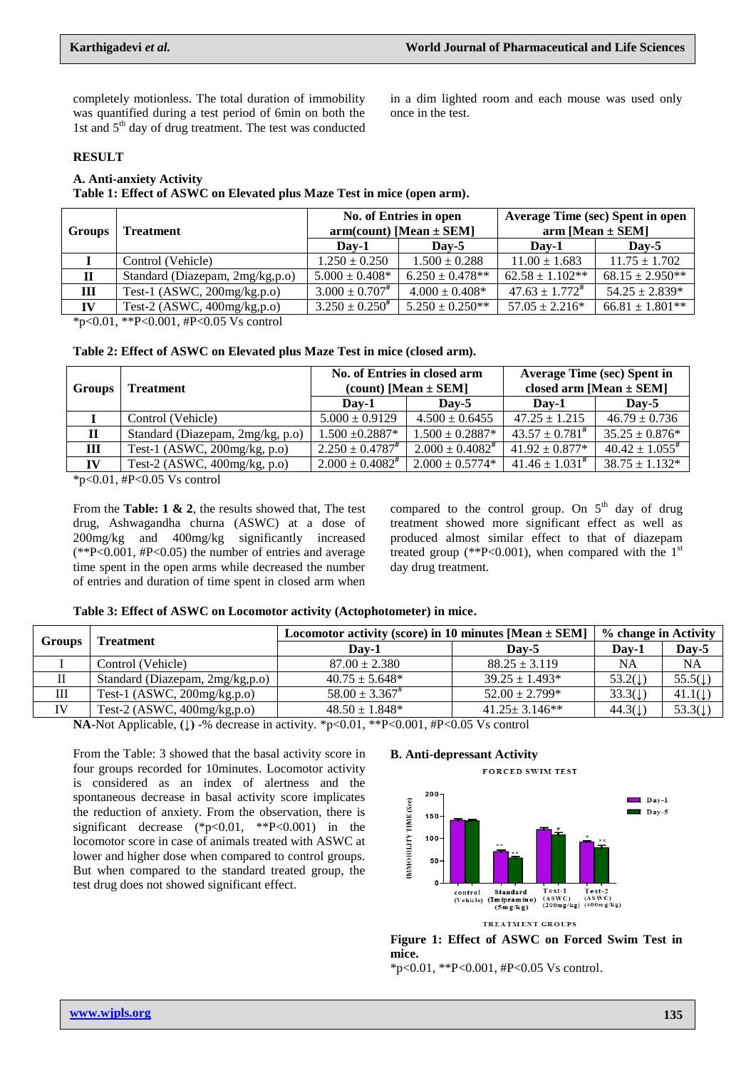completely motionless. The total duration of immobility was quantified during a test period of 6min on both the 1st and  $5<sup>th</sup>$  day of drug treatment. The test was conducted

in a dim lighted room and each mouse was used only once in the test.

### **RESULT**

# **A. Anti-anxiety Activity**

**Table 1: Effect of ASWC on Elevated plus Maze Test in mice (open arm).**

| Groups      | <b>Treatment</b>                                                        | No. of Entries in open<br>$arm(count)$ [Mean $\pm$ SEM] |                     | <b>Average Time (sec) Spent in open</b><br>$arm [Mean \pm SEM]$ |                     |  |
|-------------|-------------------------------------------------------------------------|---------------------------------------------------------|---------------------|-----------------------------------------------------------------|---------------------|--|
|             |                                                                         | Dav-1                                                   | Dav-5               | Dav-1                                                           | Dav-5               |  |
|             | Control (Vehicle)                                                       | $1.250 \pm 0.250$                                       | $1.500 \pm 0.288$   | $11.00 \pm 1.683$                                               | $11.75 \pm 1.702$   |  |
| $\mathbf H$ | Standard (Diazepam, 2mg/kg,p.o)                                         | $5.000 \pm 0.408*$                                      | $6.250 \pm 0.478**$ | $62.58 \pm 1.102**$                                             | $68.15 \pm 2.950**$ |  |
| Ш           | Test-1 (ASWC, $200$ mg/kg.p.o)                                          | $3.000 \pm 0.707$ #                                     | $4.000 \pm 0.408*$  | $47.63 \pm 1.772^{\text{\#}}$                                   | $54.25 \pm 2.839*$  |  |
| IV          | Test-2 (ASWC, $400$ mg/kg,p.o)                                          | $3.250 \pm 0.250^{\#}$                                  | $5.250 \pm 0.250**$ | $57.05 \pm 2.216*$                                              | $66.81 \pm 1.801**$ |  |
|             | $\frac{1}{2}$ . $0.01 + \frac{1}{2}$ $0.001 + \frac{1}{2}$ $0.05$ $V$ . |                                                         |                     |                                                                 |                     |  |

\*p<0.01, \*\*P<0.001, #P<0.05 Vs control

**Table 2: Effect of ASWC on Elevated plus Maze Test in mice (closed arm).**

| <b>Groups</b> | <b>Treatment</b>                 | No. of Entries in closed arm<br>(count) [Mean $\pm$ SEM] |                         | <b>Average Time (sec) Spent in</b><br>closed arm [Mean $\pm$ SEM] |                        |
|---------------|----------------------------------|----------------------------------------------------------|-------------------------|-------------------------------------------------------------------|------------------------|
|               |                                  | Dav-1                                                    | $\bf{D}$ av-5           | Dav-1                                                             | $\bf\mathbf{D}$ av-5   |
|               | Control (Vehicle)                | $5.000 \pm 0.9129$                                       | $4.500 \pm 0.6455$      | $47.25 \pm 1.215$                                                 | $46.79 \pm 0.736$      |
| $\mathbf H$   | Standard (Diazepam, 2mg/kg, p.o) | $1.500 \pm 0.2887*$                                      | $1.500 \pm 0.2887*$     | $43.57 \pm 0.781$ <sup>#</sup>                                    | $35.25 \pm 0.876*$     |
| Ш             | Test-1 (ASWC, $200$ mg/kg, p.o)  | $2.250 \pm 0.4787$                                       | $2.000 \pm 0.4082^{\#}$ | $41.92 \pm 0.877*$                                                | $40.42 \pm 1.055^{\#}$ |
| IV            | Test-2 (ASWC, $400mg/kg$ , p.o)  | $2.000 \pm 0.4082$ #                                     | $2.000 \pm 0.5774*$     | $41.46 \pm 1.031^{\#}$                                            | $38.75 \pm 1.132*$     |

 $*p<0.01$ , #P<0.05 Vs control

From the **Table: 1 & 2**, the results showed that, The test drug, Ashwagandha churna (ASWC) at a dose of 200mg/kg and 400mg/kg significantly increased  $(*P<0.001, HP<0.05)$  the number of entries and average time spent in the open arms while decreased the number of entries and duration of time spent in closed arm when

compared to the control group. On  $5<sup>th</sup>$  day of drug treatment showed more significant effect as well as produced almost similar effect to that of diazepam treated group (\*\*P<0.001), when compared with the  $1<sup>st</sup>$ day drug treatment.

#### **Table 3: Effect of ASWC on Locomotor activity (Actophotometer) in mice.**

| <b>Groups</b> | <b>Treatment</b>                | Locomotor activity (score) in 10 minutes [Mean $\pm$ SEM] | % change in Activity         |                    |                    |
|---------------|---------------------------------|-----------------------------------------------------------|------------------------------|--------------------|--------------------|
|               |                                 | Dav-1                                                     | $\bf\bf\bm{\mathrm{D}}$ av-5 | Day-1              | Day-5              |
|               | Control (Vehicle)               | $87.00 \pm 2.380$                                         | $88.25 \pm 3.119$            | <b>NA</b>          | NA                 |
|               | Standard (Diazepam, 2mg/kg,p.o) | $40.75 \pm 5.648*$                                        | $39.25 \pm 1.493*$           | $53.2(\downarrow)$ | $55.5(\downarrow)$ |
| Ш             | Test-1 $(ASWC, 200mg/kg.p.o)$   | $58.00 \pm 3.367^*$                                       | $52.00 \pm 2.799*$           | 33.3(1)            | $41.1(\downarrow)$ |
| IV            | Test-2 (ASWC, $400$ mg/kg,p.o)  | $48.50 \pm 1.848*$                                        | $41.25 \pm 3.146$ **         | $44.3(\downarrow)$ | $53.3(\downarrow)$ |

**NA**-Not Applicable, **(↓)** -% decrease in activity. \*p<0.01, \*\*P<0.001, #P<0.05 Vs control

From the Table: 3 showed that the basal activity score in four groups recorded for 10minutes. Locomotor activity is considered as an index of alertness and the spontaneous decrease in basal activity score implicates the reduction of anxiety. From the observation, there is significant decrease  $(*p<0.01, **P<0.001)$  in the locomotor score in case of animals treated with ASWC at lower and higher dose when compared to control groups. But when compared to the standard treated group, the test drug does not showed significant effect.

## **B. Anti-depressant Activity**





**Figure 1: Effect of ASWC on Forced Swim Test in mice.**

 $*p<0.01$ ,  $*P<0.001$ ,  $#P<0.05$  Vs control.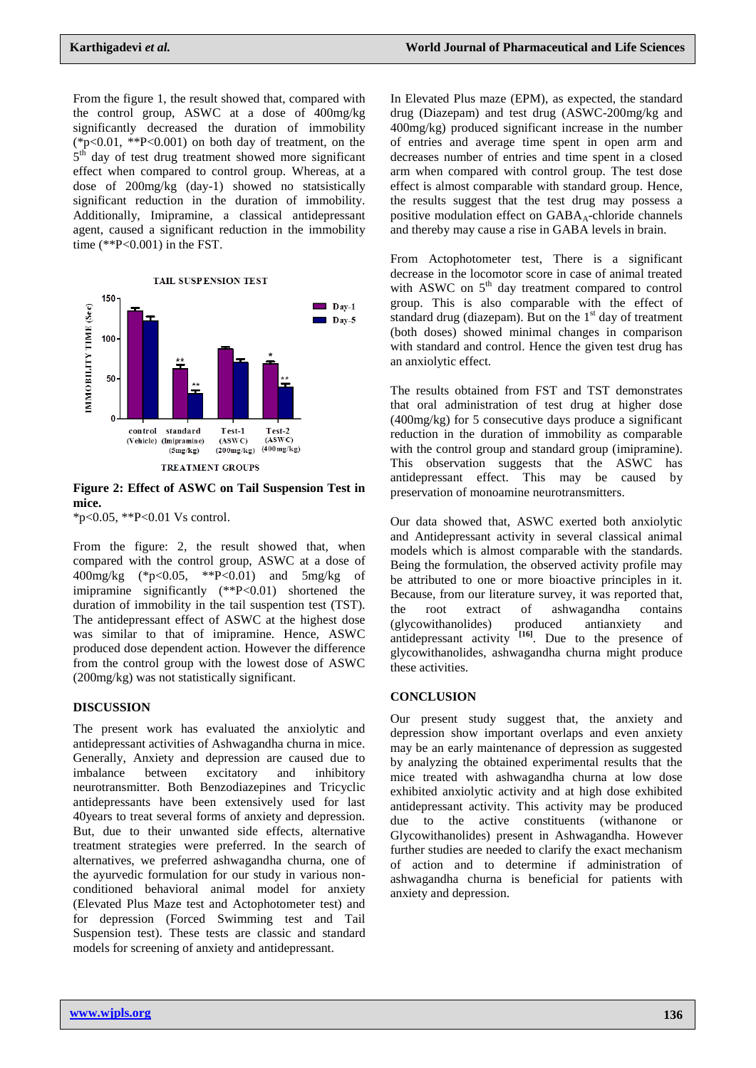From the figure 1, the result showed that, compared with the control group, ASWC at a dose of 400mg/kg significantly decreased the duration of immobility  $(*p<0.01, **P<0.001)$  on both day of treatment, on the  $5<sup>th</sup>$  day of test drug treatment showed more significant effect when compared to control group. Whereas, at a dose of 200mg/kg (day-1) showed no statsistically significant reduction in the duration of immobility. Additionally, Imipramine, a classical antidepressant agent, caused a significant reduction in the immobility time  $(*P<0.001)$  in the FST.



### **Figure 2: Effect of ASWC on Tail Suspension Test in mice.**

\*p<0.05, \*\*P<0.01 Vs control.

From the figure: 2, the result showed that, when compared with the control group, ASWC at a dose of 400mg/kg (\*p<0.05, \*\*P<0.01) and 5mg/kg of imipramine significantly (\*\*P<0.01) shortened the duration of immobility in the tail suspention test (TST). The antidepressant effect of ASWC at the highest dose was similar to that of imipramine. Hence, ASWC produced dose dependent action. However the difference from the control group with the lowest dose of ASWC (200mg/kg) was not statistically significant.

### **DISCUSSION**

The present work has evaluated the anxiolytic and antidepressant activities of Ashwagandha churna in mice. Generally, Anxiety and depression are caused due to imbalance between excitatory and inhibitory neurotransmitter. Both Benzodiazepines and Tricyclic antidepressants have been extensively used for last 40years to treat several forms of anxiety and depression. But, due to their unwanted side effects, alternative treatment strategies were preferred. In the search of alternatives, we preferred ashwagandha churna, one of the ayurvedic formulation for our study in various nonconditioned behavioral animal model for anxiety (Elevated Plus Maze test and Actophotometer test) and for depression (Forced Swimming test and Tail Suspension test). These tests are classic and standard models for screening of anxiety and antidepressant.

In Elevated Plus maze (EPM), as expected, the standard drug (Diazepam) and test drug (ASWC-200mg/kg and 400mg/kg) produced significant increase in the number of entries and average time spent in open arm and decreases number of entries and time spent in a closed arm when compared with control group. The test dose effect is almost comparable with standard group. Hence, the results suggest that the test drug may possess a positive modulation effect on  $GABA_A$ -chloride channels and thereby may cause a rise in GABA levels in brain.

From Actophotometer test, There is a significant decrease in the locomotor score in case of animal treated with ASWC on  $5<sup>th</sup>$  day treatment compared to control group. This is also comparable with the effect of standard drug (diazepam). But on the  $1<sup>st</sup>$  day of treatment (both doses) showed minimal changes in comparison with standard and control. Hence the given test drug has an anxiolytic effect.

The results obtained from FST and TST demonstrates that oral administration of test drug at higher dose (400mg/kg) for 5 consecutive days produce a significant reduction in the duration of immobility as comparable with the control group and standard group (imipramine). This observation suggests that the ASWC has antidepressant effect. This may be caused by preservation of monoamine neurotransmitters.

Our data showed that, ASWC exerted both anxiolytic and Antidepressant activity in several classical animal models which is almost comparable with the standards. Being the formulation, the observed activity profile may be attributed to one or more bioactive principles in it. Because, from our literature survey, it was reported that, the root extract of ashwagandha contains<br>(glycowithanolides) produced antianxiety and (glycowithanolides) produced antianxiety and antidepressant activity <sup>[16]</sup>. Due to the presence of glycowithanolides, ashwagandha churna might produce these activities.

### **CONCLUSION**

Our present study suggest that, the anxiety and depression show important overlaps and even anxiety may be an early maintenance of depression as suggested by analyzing the obtained experimental results that the mice treated with ashwagandha churna at low dose exhibited anxiolytic activity and at high dose exhibited antidepressant activity. This activity may be produced due to the active constituents (withanone or Glycowithanolides) present in Ashwagandha. However further studies are needed to clarify the exact mechanism of action and to determine if administration of ashwagandha churna is beneficial for patients with anxiety and depression.